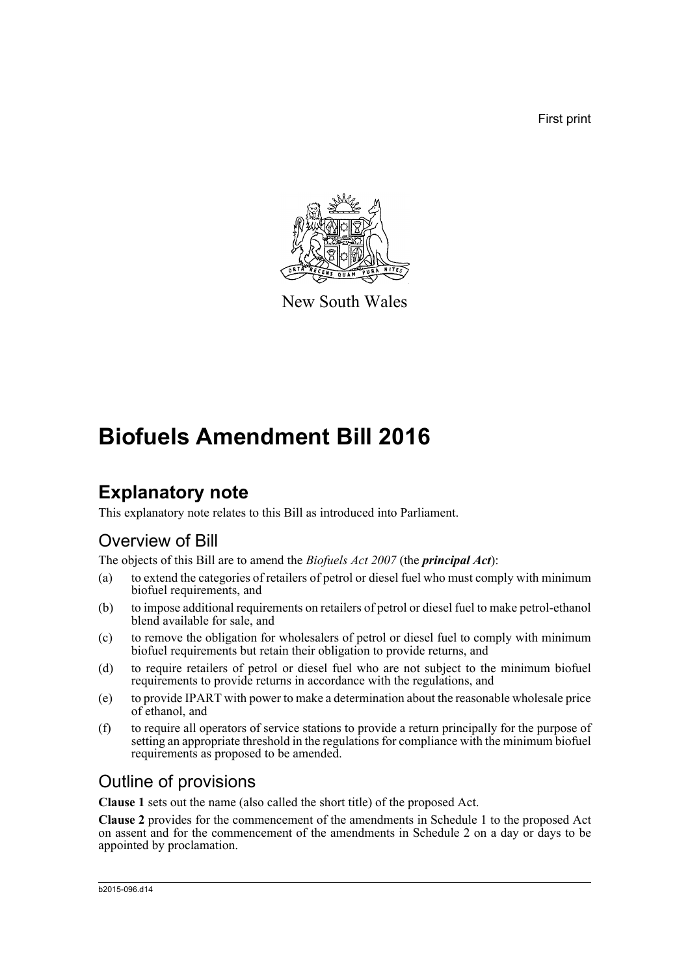First print



New South Wales

# **Biofuels Amendment Bill 2016**

## **Explanatory note**

This explanatory note relates to this Bill as introduced into Parliament.

### Overview of Bill

The objects of this Bill are to amend the *Biofuels Act 2007* (the *principal Act*):

- (a) to extend the categories of retailers of petrol or diesel fuel who must comply with minimum biofuel requirements, and
- (b) to impose additional requirements on retailers of petrol or diesel fuel to make petrol-ethanol blend available for sale, and
- (c) to remove the obligation for wholesalers of petrol or diesel fuel to comply with minimum biofuel requirements but retain their obligation to provide returns, and
- (d) to require retailers of petrol or diesel fuel who are not subject to the minimum biofuel requirements to provide returns in accordance with the regulations, and
- (e) to provide IPART with power to make a determination about the reasonable wholesale price of ethanol, and
- (f) to require all operators of service stations to provide a return principally for the purpose of setting an appropriate threshold in the regulations for compliance with the minimum biofuel requirements as proposed to be amended.

### Outline of provisions

**Clause 1** sets out the name (also called the short title) of the proposed Act.

**Clause 2** provides for the commencement of the amendments in Schedule 1 to the proposed Act on assent and for the commencement of the amendments in Schedule 2 on a day or days to be appointed by proclamation.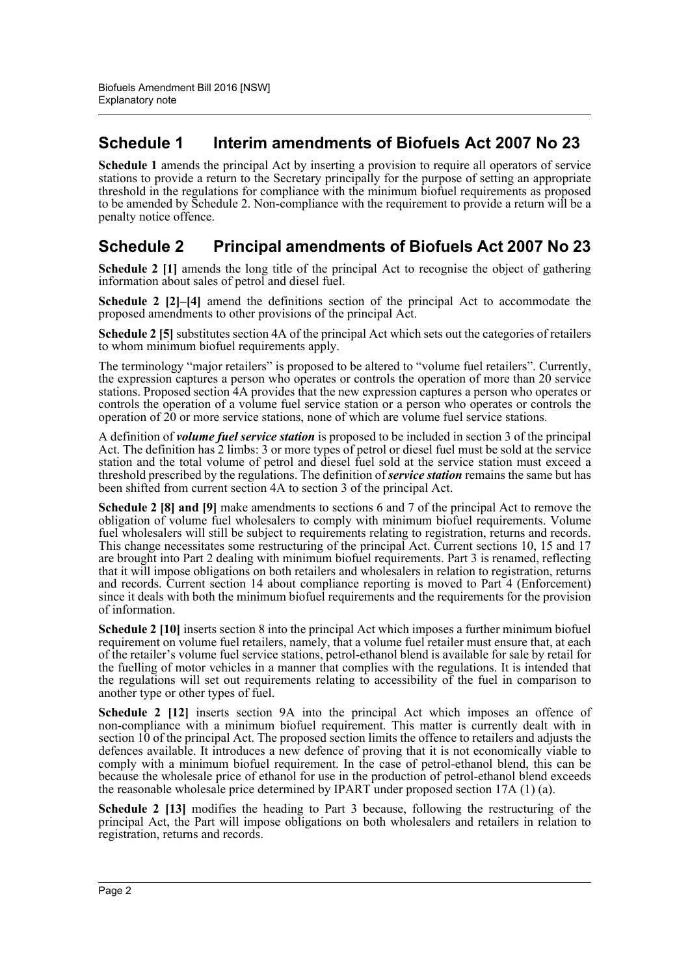### **Schedule 1 Interim amendments of Biofuels Act 2007 No 23**

**Schedule 1** amends the principal Act by inserting a provision to require all operators of service stations to provide a return to the Secretary principally for the purpose of setting an appropriate threshold in the regulations for compliance with the minimum biofuel requirements as proposed to be amended by Schedule 2. Non-compliance with the requirement to provide a return will be a penalty notice offence.

#### **Schedule 2 Principal amendments of Biofuels Act 2007 No 23**

**Schedule 2** [1] amends the long title of the principal Act to recognise the object of gathering information about sales of petrol and diesel fuel.

**Schedule 2 [2]–[4]** amend the definitions section of the principal Act to accommodate the proposed amendments to other provisions of the principal Act.

**Schedule 2 [5]** substitutes section 4A of the principal Act which sets out the categories of retailers to whom minimum biofuel requirements apply.

The terminology "major retailers" is proposed to be altered to "volume fuel retailers". Currently, the expression captures a person who operates or controls the operation of more than 20 service stations. Proposed section 4A provides that the new expression captures a person who operates or controls the operation of a volume fuel service station or a person who operates or controls the operation of 20 or more service stations, none of which are volume fuel service stations.

A definition of *volume fuel service station* is proposed to be included in section 3 of the principal Act. The definition has 2 limbs: 3 or more types of petrol or diesel fuel must be sold at the service station and the total volume of petrol and diesel fuel sold at the service station must exceed a threshold prescribed by the regulations. The definition of *service station* remains the same but has been shifted from current section 4A to section 3 of the principal Act.

**Schedule 2 [8] and [9]** make amendments to sections 6 and 7 of the principal Act to remove the obligation of volume fuel wholesalers to comply with minimum biofuel requirements. Volume fuel wholesalers will still be subject to requirements relating to registration, returns and records. This change necessitates some restructuring of the principal Act. Current sections 10, 15 and 17 are brought into Part 2 dealing with minimum biofuel requirements. Part 3 is renamed, reflecting that it will impose obligations on both retailers and wholesalers in relation to registration, returns and records. Current section 14 about compliance reporting is moved to Part 4 (Enforcement) since it deals with both the minimum biofuel requirements and the requirements for the provision of information.

**Schedule 2 [10]** inserts section 8 into the principal Act which imposes a further minimum biofuel requirement on volume fuel retailers, namely, that a volume fuel retailer must ensure that, at each of the retailer's volume fuel service stations, petrol-ethanol blend is available for sale by retail for the fuelling of motor vehicles in a manner that complies with the regulations. It is intended that the regulations will set out requirements relating to accessibility of the fuel in comparison to another type or other types of fuel.

**Schedule 2 [12]** inserts section 9A into the principal Act which imposes an offence of non-compliance with a minimum biofuel requirement. This matter is currently dealt with in section 10 of the principal Act. The proposed section limits the offence to retailers and adjusts the defences available. It introduces a new defence of proving that it is not economically viable to comply with a minimum biofuel requirement. In the case of petrol-ethanol blend, this can be because the wholesale price of ethanol for use in the production of petrol-ethanol blend exceeds the reasonable wholesale price determined by IPART under proposed section 17A (1) (a).

**Schedule 2 [13]** modifies the heading to Part 3 because, following the restructuring of the principal Act, the Part will impose obligations on both wholesalers and retailers in relation to registration, returns and records.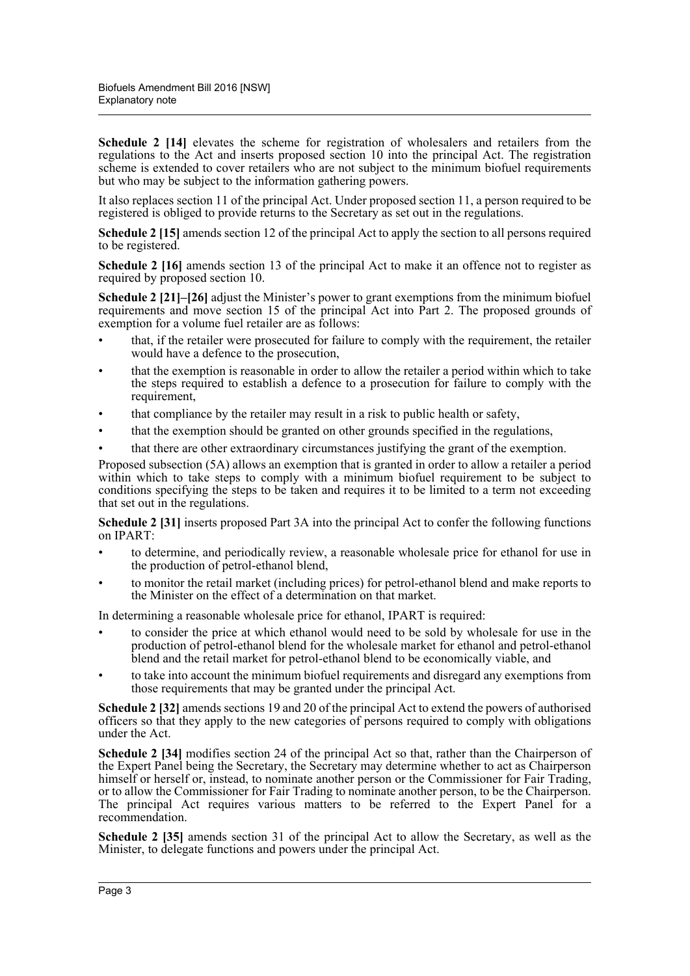**Schedule 2 [14]** elevates the scheme for registration of wholesalers and retailers from the regulations to the Act and inserts proposed section 10 into the principal Act. The registration scheme is extended to cover retailers who are not subject to the minimum biofuel requirements but who may be subject to the information gathering powers.

It also replaces section 11 of the principal Act. Under proposed section 11, a person required to be registered is obliged to provide returns to the Secretary as set out in the regulations.

**Schedule 2 [15]** amends section 12 of the principal Act to apply the section to all persons required to be registered.

**Schedule 2 [16]** amends section 13 of the principal Act to make it an offence not to register as required by proposed section 10.

**Schedule 2 [21]–[26]** adjust the Minister's power to grant exemptions from the minimum biofuel requirements and move section 15 of the principal Act into Part 2. The proposed grounds of exemption for a volume fuel retailer are as follows:

- that, if the retailer were prosecuted for failure to comply with the requirement, the retailer would have a defence to the prosecution,
- that the exemption is reasonable in order to allow the retailer a period within which to take the steps required to establish a defence to a prosecution for failure to comply with the requirement,
- that compliance by the retailer may result in a risk to public health or safety,
- that the exemption should be granted on other grounds specified in the regulations,
- that there are other extraordinary circumstances justifying the grant of the exemption.

Proposed subsection (5A) allows an exemption that is granted in order to allow a retailer a period within which to take steps to comply with a minimum biofuel requirement to be subject to conditions specifying the steps to be taken and requires it to be limited to a term not exceeding that set out in the regulations.

**Schedule 2 [31]** inserts proposed Part 3A into the principal Act to confer the following functions on IPART:

- to determine, and periodically review, a reasonable wholesale price for ethanol for use in the production of petrol-ethanol blend,
- to monitor the retail market (including prices) for petrol-ethanol blend and make reports to the Minister on the effect of a determination on that market.

In determining a reasonable wholesale price for ethanol, IPART is required:

- to consider the price at which ethanol would need to be sold by wholesale for use in the production of petrol-ethanol blend for the wholesale market for ethanol and petrol-ethanol blend and the retail market for petrol-ethanol blend to be economically viable, and
- to take into account the minimum biofuel requirements and disregard any exemptions from those requirements that may be granted under the principal Act.

**Schedule 2 [32]** amends sections 19 and 20 of the principal Act to extend the powers of authorised officers so that they apply to the new categories of persons required to comply with obligations under the Act.

**Schedule 2 [34]** modifies section 24 of the principal Act so that, rather than the Chairperson of the Expert Panel being the Secretary, the Secretary may determine whether to act as Chairperson himself or herself or, instead, to nominate another person or the Commissioner for Fair Trading, or to allow the Commissioner for Fair Trading to nominate another person, to be the Chairperson. The principal Act requires various matters to be referred to the Expert Panel for a recommendation.

**Schedule 2 [35]** amends section 31 of the principal Act to allow the Secretary, as well as the Minister, to delegate functions and powers under the principal Act.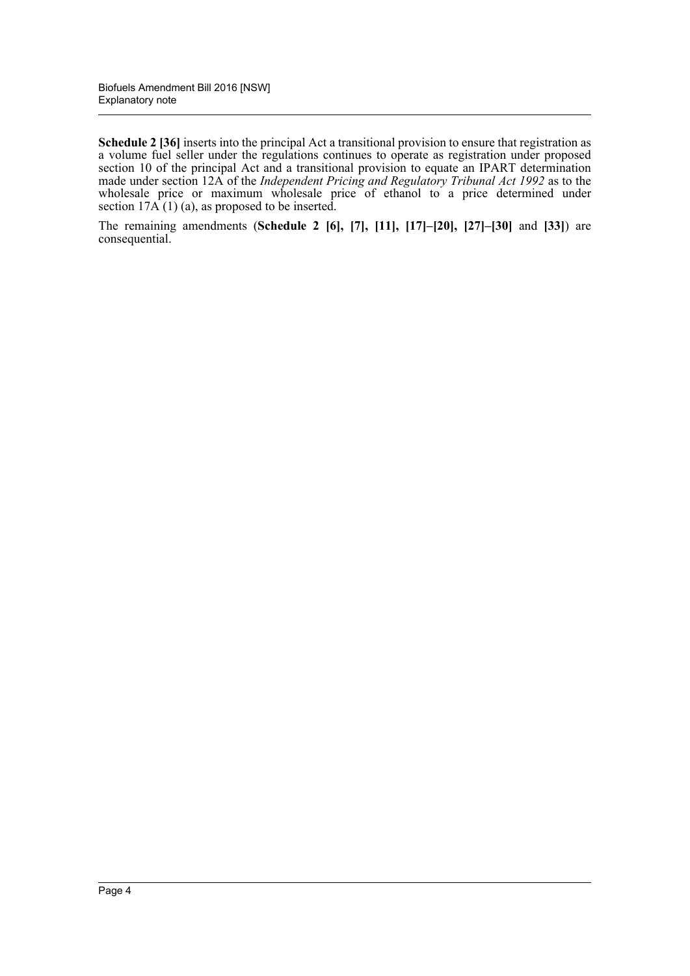**Schedule 2 [36]** inserts into the principal Act a transitional provision to ensure that registration as a volume fuel seller under the regulations continues to operate as registration under proposed section 10 of the principal Act and a transitional provision to equate an IPART determination made under section 12A of the *Independent Pricing and Regulatory Tribunal Act 1992* as to the wholesale price or maximum wholesale price of ethanol to a price determined under section  $17A(1)$  (a), as proposed to be inserted.

The remaining amendments (**Schedule 2 [6], [7], [11], [17]–[20], [27]–[30]** and **[33]**) are consequential.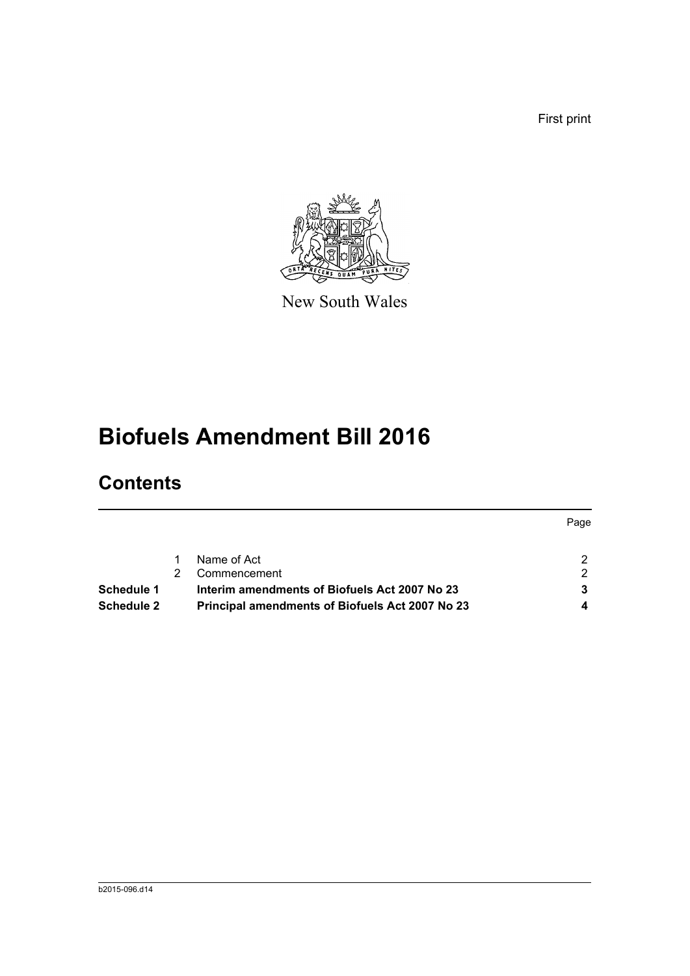First print



New South Wales

# **Biofuels Amendment Bill 2016**

## **Contents**

|                                                        | Page |
|--------------------------------------------------------|------|
| Name of Act                                            | ົ    |
| Commencement                                           | 2    |
| Interim amendments of Biofuels Act 2007 No 23          |      |
| <b>Principal amendments of Biofuels Act 2007 No 23</b> |      |
|                                                        |      |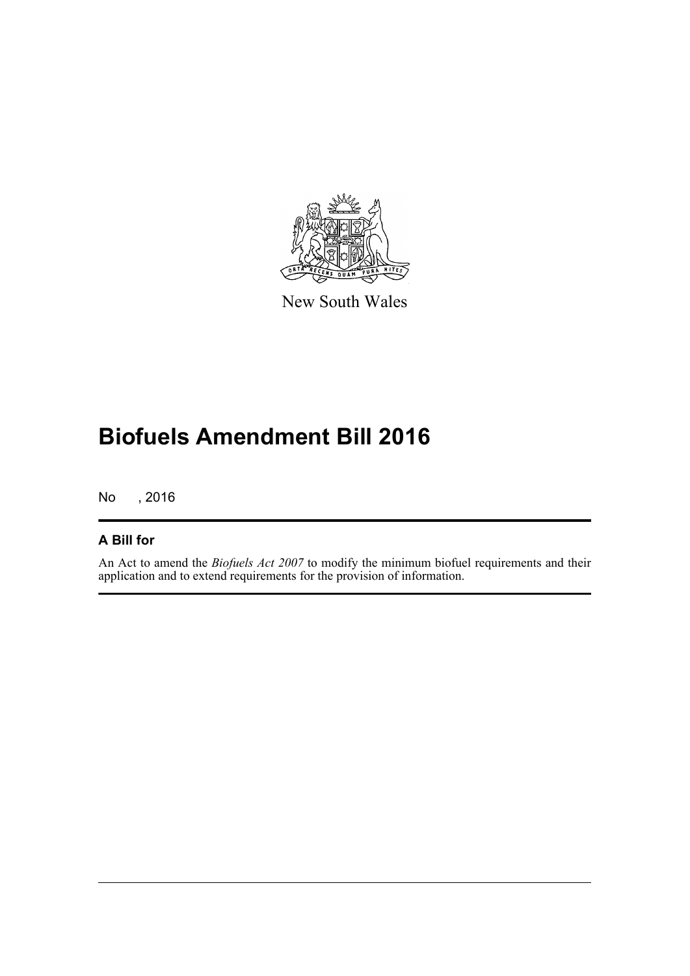

New South Wales

## **Biofuels Amendment Bill 2016**

No , 2016

#### **A Bill for**

An Act to amend the *Biofuels Act 2007* to modify the minimum biofuel requirements and their application and to extend requirements for the provision of information.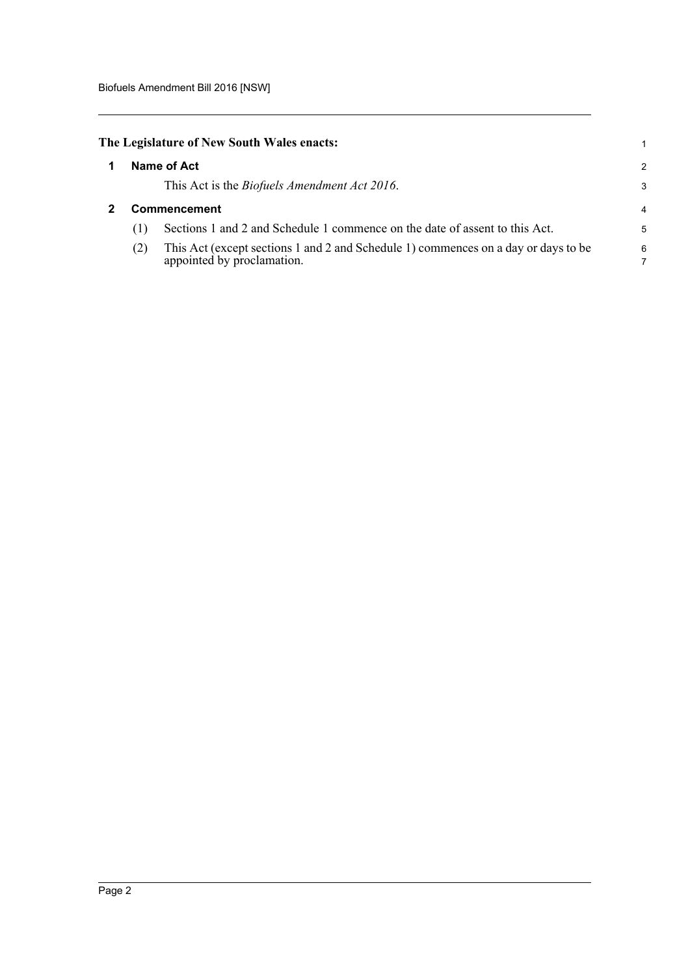<span id="page-6-1"></span><span id="page-6-0"></span>

|              | The Legislature of New South Wales enacts:                                                                       | 1 |  |  |  |
|--------------|------------------------------------------------------------------------------------------------------------------|---|--|--|--|
| Name of Act  |                                                                                                                  |   |  |  |  |
|              | This Act is the <i>Biofuels Amendment Act 2016</i> .                                                             | 3 |  |  |  |
| Commencement |                                                                                                                  |   |  |  |  |
| (1)          | Sections 1 and 2 and Schedule 1 commence on the date of assent to this Act.                                      | 5 |  |  |  |
| (2)          | This Act (except sections 1 and 2 and Schedule 1) commences on a day or days to be<br>appointed by proclamation. | 6 |  |  |  |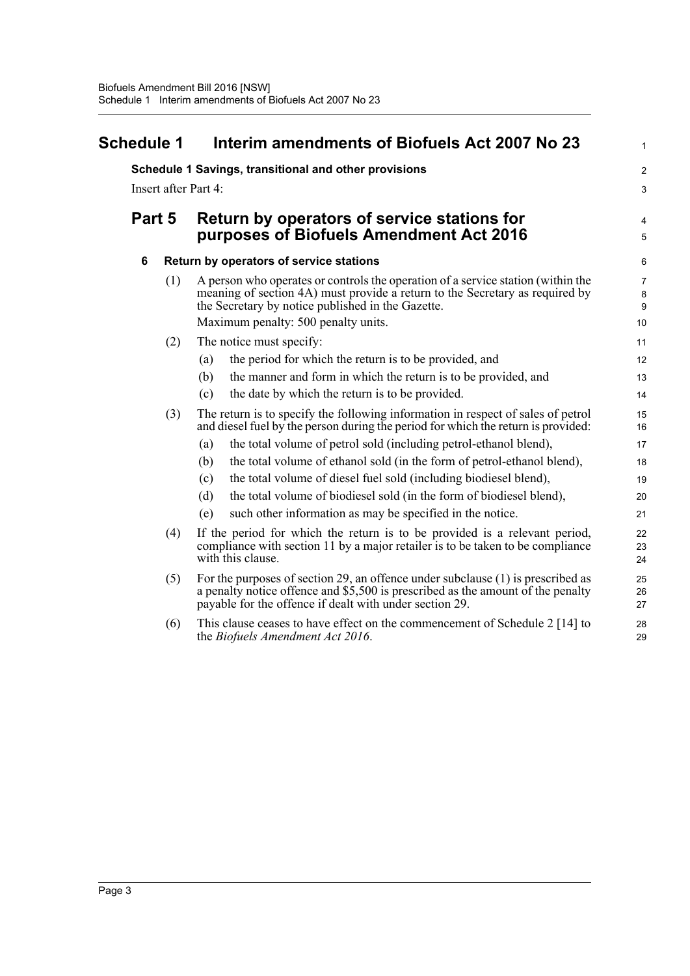<span id="page-7-0"></span>

| Schedule 1 |        |     | Interim amendments of Biofuels Act 2007 No 23                                                                                                                                                                                                                | $\mathbf{1}$                                  |  |  |  |
|------------|--------|-----|--------------------------------------------------------------------------------------------------------------------------------------------------------------------------------------------------------------------------------------------------------------|-----------------------------------------------|--|--|--|
|            |        |     | Schedule 1 Savings, transitional and other provisions                                                                                                                                                                                                        | $\boldsymbol{2}$                              |  |  |  |
|            |        |     | Insert after Part 4:                                                                                                                                                                                                                                         | 3                                             |  |  |  |
|            | Part 5 |     | Return by operators of service stations for<br>purposes of Biofuels Amendment Act 2016                                                                                                                                                                       |                                               |  |  |  |
|            | 6      |     | Return by operators of service stations                                                                                                                                                                                                                      | 6                                             |  |  |  |
|            |        | (1) | A person who operates or controls the operation of a service station (within the<br>meaning of section 4A) must provide a return to the Secretary as required by<br>the Secretary by notice published in the Gazette.<br>Maximum penalty: 500 penalty units. | $\overline{7}$<br>8<br>$\boldsymbol{9}$<br>10 |  |  |  |
|            |        | (2) | The notice must specify:                                                                                                                                                                                                                                     | 11                                            |  |  |  |
|            |        |     | the period for which the return is to be provided, and<br>(a)                                                                                                                                                                                                | 12                                            |  |  |  |
|            |        |     | the manner and form in which the return is to be provided, and<br>(b)                                                                                                                                                                                        | 13                                            |  |  |  |
|            |        |     | the date by which the return is to be provided.<br>(c)                                                                                                                                                                                                       | 14                                            |  |  |  |
|            |        | (3) | The return is to specify the following information in respect of sales of petrol<br>and diesel fuel by the person during the period for which the return is provided:                                                                                        | 15<br>16                                      |  |  |  |
|            |        |     | the total volume of petrol sold (including petrol-ethanol blend),<br>(a)                                                                                                                                                                                     | 17                                            |  |  |  |
|            |        |     | the total volume of ethanol sold (in the form of petrol-ethanol blend),<br>(b)                                                                                                                                                                               | 18                                            |  |  |  |
|            |        |     | the total volume of diesel fuel sold (including biodiesel blend),<br>(c)                                                                                                                                                                                     | 19                                            |  |  |  |
|            |        |     | the total volume of biodiesel sold (in the form of biodiesel blend),<br>(d)                                                                                                                                                                                  | 20                                            |  |  |  |
|            |        |     | such other information as may be specified in the notice.<br>(e)                                                                                                                                                                                             | 21                                            |  |  |  |
|            |        | (4) | If the period for which the return is to be provided is a relevant period,<br>compliance with section 11 by a major retailer is to be taken to be compliance<br>with this clause.                                                                            | 22<br>23<br>24                                |  |  |  |
|            |        | (5) | For the purposes of section 29, an offence under subclause (1) is prescribed as<br>a penalty notice offence and \$5,500 is prescribed as the amount of the penalty<br>payable for the offence if dealt with under section 29.                                | 25<br>26<br>27                                |  |  |  |
|            |        | (6) | This clause ceases to have effect on the commencement of Schedule 2 [14] to<br>the Biofuels Amendment Act 2016.                                                                                                                                              | 28<br>29                                      |  |  |  |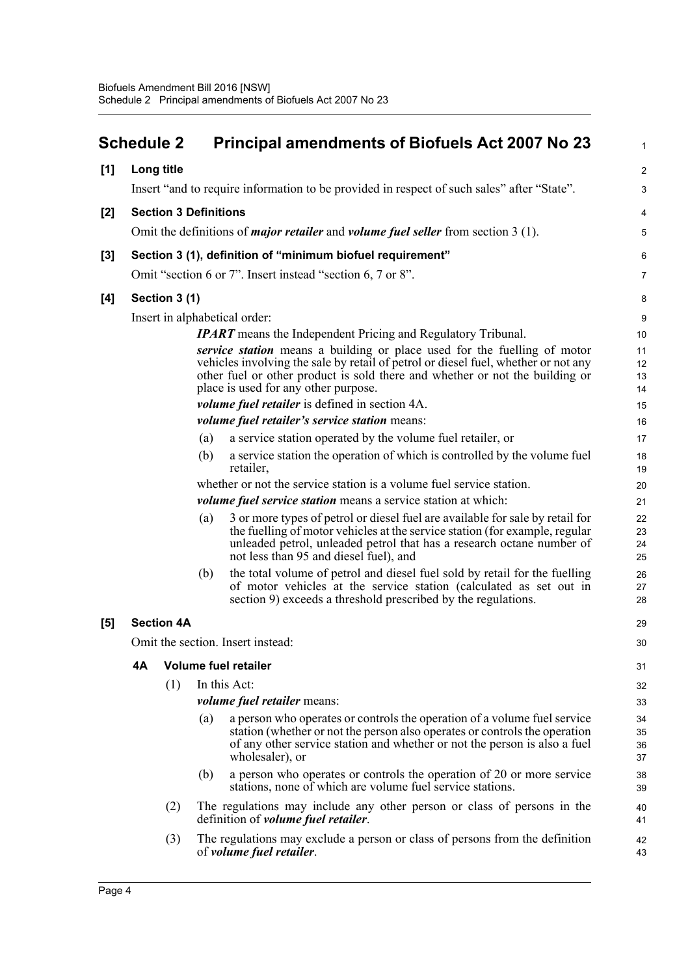<span id="page-8-0"></span>

|       | <b>Schedule 2</b>                                                                                 |                              |     | <b>Principal amendments of Biofuels Act 2007 No 23</b>                                                                                                                                                                                                                                 | 1                    |  |  |
|-------|---------------------------------------------------------------------------------------------------|------------------------------|-----|----------------------------------------------------------------------------------------------------------------------------------------------------------------------------------------------------------------------------------------------------------------------------------------|----------------------|--|--|
| [1]   | Long title                                                                                        |                              |     |                                                                                                                                                                                                                                                                                        | $\overline{a}$       |  |  |
|       |                                                                                                   |                              |     | Insert "and to require information to be provided in respect of such sales" after "State".                                                                                                                                                                                             | 3                    |  |  |
| [2]   |                                                                                                   | <b>Section 3 Definitions</b> |     |                                                                                                                                                                                                                                                                                        | 4                    |  |  |
|       | Omit the definitions of <i>major retailer</i> and <i>volume fuel seller</i> from section $3(1)$ . |                              |     |                                                                                                                                                                                                                                                                                        |                      |  |  |
| $[3]$ |                                                                                                   |                              |     | Section 3 (1), definition of "minimum biofuel requirement"                                                                                                                                                                                                                             | 6                    |  |  |
|       |                                                                                                   |                              |     | Omit "section 6 or 7". Insert instead "section 6, 7 or 8".                                                                                                                                                                                                                             | 7                    |  |  |
| [4]   |                                                                                                   | Section 3 (1)                |     |                                                                                                                                                                                                                                                                                        | 8                    |  |  |
|       |                                                                                                   |                              |     | Insert in alphabetical order:                                                                                                                                                                                                                                                          | 9                    |  |  |
|       |                                                                                                   |                              |     | <b>IPART</b> means the Independent Pricing and Regulatory Tribunal.                                                                                                                                                                                                                    | 10                   |  |  |
|       |                                                                                                   |                              |     | service station means a building or place used for the fuelling of motor<br>vehicles involving the sale by retail of petrol or diesel fuel, whether or not any<br>other fuel or other product is sold there and whether or not the building or<br>place is used for any other purpose. | 11<br>12<br>13<br>14 |  |  |
|       |                                                                                                   |                              |     | <i>volume fuel retailer</i> is defined in section 4A.                                                                                                                                                                                                                                  | 15                   |  |  |
|       |                                                                                                   |                              |     | volume fuel retailer's service station means:                                                                                                                                                                                                                                          | 16                   |  |  |
|       |                                                                                                   |                              | (a) | a service station operated by the volume fuel retailer, or                                                                                                                                                                                                                             | 17                   |  |  |
|       |                                                                                                   |                              | (b) | a service station the operation of which is controlled by the volume fuel<br>retailer.                                                                                                                                                                                                 | 18<br>19             |  |  |
|       |                                                                                                   |                              |     | whether or not the service station is a volume fuel service station.                                                                                                                                                                                                                   | 20                   |  |  |
|       |                                                                                                   |                              |     | <i>volume fuel service station</i> means a service station at which:                                                                                                                                                                                                                   | 21                   |  |  |
|       |                                                                                                   |                              | (a) | 3 or more types of petrol or diesel fuel are available for sale by retail for<br>the fuelling of motor vehicles at the service station (for example, regular<br>unleaded petrol, unleaded petrol that has a research octane number of<br>not less than 95 and diesel fuel), and        | 22<br>23<br>24<br>25 |  |  |
|       |                                                                                                   |                              | (b) | the total volume of petrol and diesel fuel sold by retail for the fuelling<br>of motor vehicles at the service station (calculated as set out in<br>section 9) exceeds a threshold prescribed by the regulations.                                                                      | 26<br>27<br>28       |  |  |
| $[5]$ |                                                                                                   | <b>Section 4A</b>            |     |                                                                                                                                                                                                                                                                                        | 29                   |  |  |
|       |                                                                                                   |                              |     | Omit the section. Insert instead:                                                                                                                                                                                                                                                      | 30                   |  |  |
|       | 4A                                                                                                |                              |     | <b>Volume fuel retailer</b>                                                                                                                                                                                                                                                            | 31                   |  |  |
|       |                                                                                                   | (1)                          |     | In this Act:                                                                                                                                                                                                                                                                           | 32                   |  |  |
|       |                                                                                                   |                              |     | <i>volume fuel retailer means:</i>                                                                                                                                                                                                                                                     | 33                   |  |  |
|       |                                                                                                   |                              | (a) | a person who operates or controls the operation of a volume fuel service<br>station (whether or not the person also operates or controls the operation<br>of any other service station and whether or not the person is also a fuel<br>wholesaler), or                                 | 34<br>35<br>36<br>37 |  |  |
|       |                                                                                                   |                              | (b) | a person who operates or controls the operation of 20 or more service<br>stations, none of which are volume fuel service stations.                                                                                                                                                     | 38<br>39             |  |  |
|       |                                                                                                   | (2)                          |     | The regulations may include any other person or class of persons in the<br>definition of <i>volume fuel retailer</i> .                                                                                                                                                                 | 40<br>41             |  |  |
|       |                                                                                                   | (3)                          |     | The regulations may exclude a person or class of persons from the definition<br>of <i>volume fuel retailer</i> .                                                                                                                                                                       | 42<br>43             |  |  |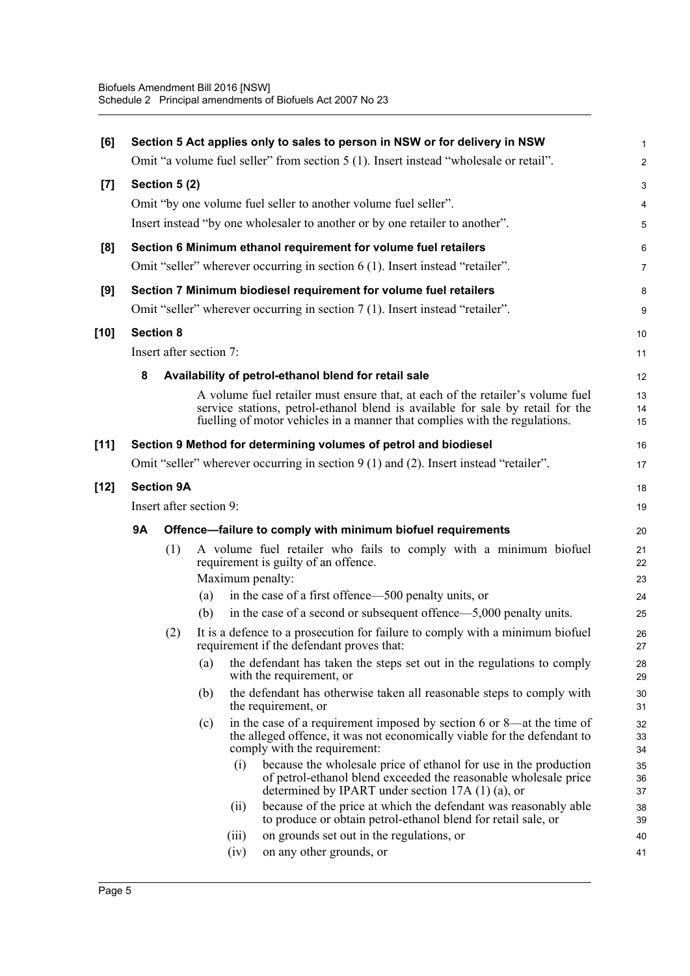| [6]    |                         |                   |                         |       | Section 5 Act applies only to sales to person in NSW or for delivery in NSW<br>Omit "a volume fuel seller" from section 5 (1). Insert instead "wholesale or retail".                      | 1<br>$\overline{a}$ |  |
|--------|-------------------------|-------------------|-------------------------|-------|-------------------------------------------------------------------------------------------------------------------------------------------------------------------------------------------|---------------------|--|
|        |                         |                   |                         |       |                                                                                                                                                                                           |                     |  |
| $[7]$  |                         | Section 5(2)      |                         |       |                                                                                                                                                                                           | 3                   |  |
|        |                         |                   |                         |       | Omit "by one volume fuel seller to another volume fuel seller".                                                                                                                           | 4                   |  |
|        |                         |                   |                         |       | Insert instead "by one wholesaler to another or by one retailer to another".                                                                                                              | 5                   |  |
| [8]    |                         |                   |                         |       | Section 6 Minimum ethanol requirement for volume fuel retailers                                                                                                                           | 6                   |  |
|        |                         |                   |                         |       | Omit "seller" wherever occurring in section 6 (1). Insert instead "retailer".                                                                                                             | 7                   |  |
| [9]    |                         |                   |                         |       | Section 7 Minimum biodiesel requirement for volume fuel retailers                                                                                                                         | 8                   |  |
|        |                         |                   |                         |       | Omit "seller" wherever occurring in section 7 (1). Insert instead "retailer".                                                                                                             | 9                   |  |
| $[10]$ | <b>Section 8</b>        |                   |                         |       |                                                                                                                                                                                           | 10                  |  |
|        |                         |                   | Insert after section 7: |       |                                                                                                                                                                                           | 11                  |  |
|        | 8                       |                   |                         |       | Availability of petrol-ethanol blend for retail sale                                                                                                                                      | 12                  |  |
|        |                         |                   |                         |       | A volume fuel retailer must ensure that, at each of the retailer's volume fuel                                                                                                            | 13                  |  |
|        |                         |                   |                         |       | service stations, petrol-ethanol blend is available for sale by retail for the<br>fuelling of motor vehicles in a manner that complies with the regulations.                              | 14<br>15            |  |
| $[11]$ |                         |                   |                         |       | Section 9 Method for determining volumes of petrol and biodiesel                                                                                                                          | 16                  |  |
|        |                         |                   |                         |       | Omit "seller" wherever occurring in section 9 (1) and (2). Insert instead "retailer".                                                                                                     | 17                  |  |
| $[12]$ |                         | <b>Section 9A</b> |                         |       |                                                                                                                                                                                           | 18                  |  |
|        | Insert after section 9: |                   |                         |       |                                                                                                                                                                                           |                     |  |
|        | 9Α                      |                   |                         |       | Offence-failure to comply with minimum biofuel requirements                                                                                                                               | 20                  |  |
|        |                         | (1)               |                         |       | A volume fuel retailer who fails to comply with a minimum biofuel<br>requirement is guilty of an offence.                                                                                 | 21<br>22            |  |
|        |                         |                   |                         |       | Maximum penalty:                                                                                                                                                                          | 23                  |  |
|        |                         |                   | (a)<br>(b)              |       | in the case of a first offence—500 penalty units, or<br>in the case of a second or subsequent offence—5,000 penalty units.                                                                | 24<br>25            |  |
|        |                         | (2)               |                         |       | It is a defence to a prosecution for failure to comply with a minimum biofuel<br>requirement if the defendant proves that:                                                                | 26<br>27            |  |
|        |                         |                   | (a)                     |       | the defendant has taken the steps set out in the regulations to comply<br>with the requirement, or                                                                                        | 28<br>29            |  |
|        |                         |                   | (b)                     |       | the defendant has otherwise taken all reasonable steps to comply with<br>the requirement, or                                                                                              | 30<br>31            |  |
|        |                         |                   | (c)                     |       | in the case of a requirement imposed by section 6 or 8—at the time of<br>the alleged offence, it was not economically viable for the defendant to<br>comply with the requirement:         | 32<br>33<br>34      |  |
|        |                         |                   |                         | (i)   | because the wholesale price of ethanol for use in the production<br>of petrol-ethanol blend exceeded the reasonable wholesale price<br>determined by IPART under section $17A(1)(a)$ , or | 35<br>36<br>37      |  |
|        |                         |                   |                         | (ii)  | because of the price at which the defendant was reasonably able<br>to produce or obtain petrol-ethanol blend for retail sale, or                                                          | 38<br>39            |  |
|        |                         |                   |                         | (iii) | on grounds set out in the regulations, or                                                                                                                                                 | 40                  |  |
|        |                         |                   |                         | (iv)  | on any other grounds, or                                                                                                                                                                  | 41                  |  |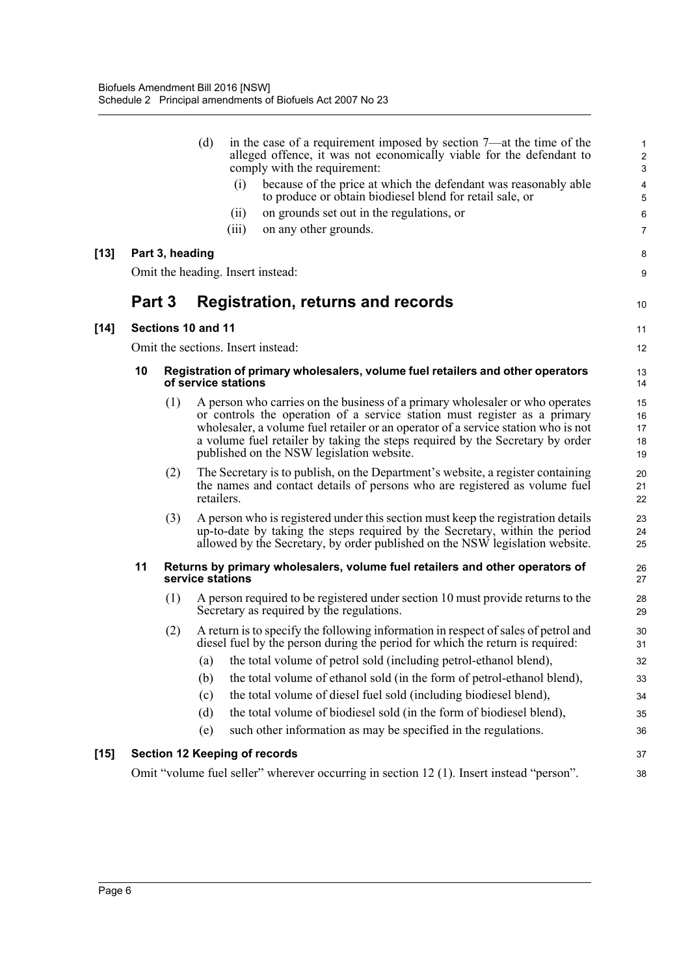|        |        |                 | (d)                                                                                              |       | in the case of a requirement imposed by section 7—at the time of the<br>alleged offence, it was not economically viable for the defendant to<br>comply with the requirement:                                                                                                                                                                                                 | $\mathbf{1}$<br>$\overline{c}$<br>3 |  |
|--------|--------|-----------------|--------------------------------------------------------------------------------------------------|-------|------------------------------------------------------------------------------------------------------------------------------------------------------------------------------------------------------------------------------------------------------------------------------------------------------------------------------------------------------------------------------|-------------------------------------|--|
|        |        |                 |                                                                                                  | (i)   | because of the price at which the defendant was reasonably able<br>to produce or obtain biodiesel blend for retail sale, or                                                                                                                                                                                                                                                  | 4<br>5                              |  |
|        |        |                 |                                                                                                  | (ii)  | on grounds set out in the regulations, or                                                                                                                                                                                                                                                                                                                                    | 6                                   |  |
|        |        |                 |                                                                                                  | (iii) | on any other grounds.                                                                                                                                                                                                                                                                                                                                                        | $\overline{7}$                      |  |
| $[13]$ |        | Part 3, heading |                                                                                                  |       |                                                                                                                                                                                                                                                                                                                                                                              | 8                                   |  |
|        |        |                 |                                                                                                  |       | Omit the heading. Insert instead:                                                                                                                                                                                                                                                                                                                                            | 9                                   |  |
|        | Part 3 |                 |                                                                                                  |       | <b>Registration, returns and records</b>                                                                                                                                                                                                                                                                                                                                     | 10                                  |  |
| $[14]$ |        |                 | Sections 10 and 11                                                                               |       |                                                                                                                                                                                                                                                                                                                                                                              | 11                                  |  |
|        |        |                 |                                                                                                  |       | Omit the sections. Insert instead:                                                                                                                                                                                                                                                                                                                                           | 12                                  |  |
|        | 10     |                 | of service stations                                                                              |       | Registration of primary wholesalers, volume fuel retailers and other operators                                                                                                                                                                                                                                                                                               | 13<br>14                            |  |
|        |        | (1)             |                                                                                                  |       | A person who carries on the business of a primary wholesaler or who operates<br>or controls the operation of a service station must register as a primary<br>wholesaler, a volume fuel retailer or an operator of a service station who is not<br>a volume fuel retailer by taking the steps required by the Secretary by order<br>published on the NSW legislation website. | 15<br>16<br>17<br>18<br>19          |  |
|        |        | (2)             | retailers.                                                                                       |       | The Secretary is to publish, on the Department's website, a register containing<br>the names and contact details of persons who are registered as volume fuel                                                                                                                                                                                                                | 20<br>21<br>22                      |  |
|        |        | (3)             |                                                                                                  |       | A person who is registered under this section must keep the registration details<br>up-to-date by taking the steps required by the Secretary, within the period<br>allowed by the Secretary, by order published on the NSW legislation website.                                                                                                                              | 23<br>24<br>25                      |  |
|        | 11     |                 | Returns by primary wholesalers, volume fuel retailers and other operators of<br>service stations |       |                                                                                                                                                                                                                                                                                                                                                                              |                                     |  |
|        |        | (1)             |                                                                                                  |       | A person required to be registered under section 10 must provide returns to the<br>Secretary as required by the regulations.                                                                                                                                                                                                                                                 | 28<br>29                            |  |
|        |        | (2)             |                                                                                                  |       | A return is to specify the following information in respect of sales of petrol and<br>diesel fuel by the person during the period for which the return is required:                                                                                                                                                                                                          | 30<br>31                            |  |
|        |        |                 | (a)                                                                                              |       | the total volume of petrol sold (including petrol-ethanol blend),                                                                                                                                                                                                                                                                                                            | 32                                  |  |
|        |        |                 | (b)                                                                                              |       | the total volume of ethanol sold (in the form of petrol-ethanol blend),                                                                                                                                                                                                                                                                                                      | 33                                  |  |
|        |        |                 | (c)                                                                                              |       | the total volume of diesel fuel sold (including biodiesel blend),                                                                                                                                                                                                                                                                                                            | 34                                  |  |
|        |        |                 | (d)                                                                                              |       | the total volume of biodiesel sold (in the form of biodiesel blend),                                                                                                                                                                                                                                                                                                         | 35                                  |  |
|        |        |                 | (e)                                                                                              |       | such other information as may be specified in the regulations.                                                                                                                                                                                                                                                                                                               | 36                                  |  |
| $[15]$ |        |                 |                                                                                                  |       | <b>Section 12 Keeping of records</b>                                                                                                                                                                                                                                                                                                                                         | 37                                  |  |
|        |        |                 |                                                                                                  |       | Omit "volume fuel seller" wherever occurring in section 12 (1). Insert instead "person".                                                                                                                                                                                                                                                                                     | 38                                  |  |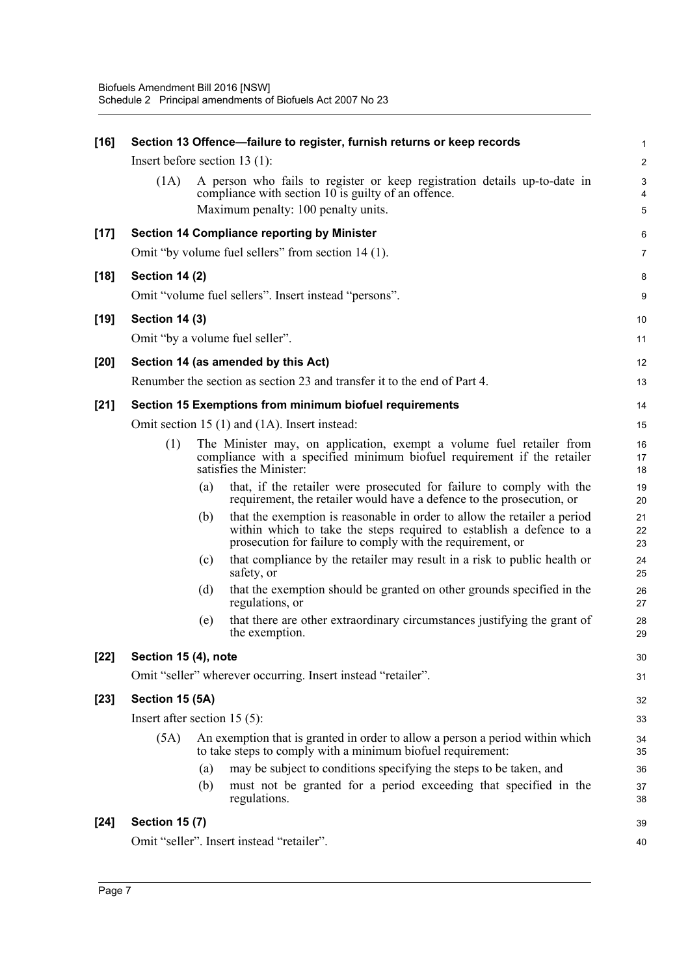| $[16]$ |                                 |     | Section 13 Offence-failure to register, furnish returns or keep records                                                                                                                                       | $\mathbf{1}$   |
|--------|---------------------------------|-----|---------------------------------------------------------------------------------------------------------------------------------------------------------------------------------------------------------------|----------------|
|        | Insert before section $13(1)$ : |     |                                                                                                                                                                                                               | $\overline{2}$ |
|        | (1A)                            |     | A person who fails to register or keep registration details up-to-date in<br>compliance with section 10 is guilty of an offence.                                                                              | 3<br>4         |
|        |                                 |     | Maximum penalty: 100 penalty units.                                                                                                                                                                           | $\sqrt{5}$     |
| $[17]$ |                                 |     | Section 14 Compliance reporting by Minister                                                                                                                                                                   | 6              |
|        |                                 |     | Omit "by volume fuel sellers" from section 14 (1).                                                                                                                                                            | $\overline{7}$ |
| $[18]$ | <b>Section 14 (2)</b>           |     |                                                                                                                                                                                                               | 8              |
|        |                                 |     | Omit "volume fuel sellers". Insert instead "persons".                                                                                                                                                         | 9              |
| $[19]$ | <b>Section 14 (3)</b>           |     |                                                                                                                                                                                                               | 10             |
|        |                                 |     | Omit "by a volume fuel seller".                                                                                                                                                                               | 11             |
| $[20]$ |                                 |     | Section 14 (as amended by this Act)                                                                                                                                                                           | 12             |
|        |                                 |     | Renumber the section as section 23 and transfer it to the end of Part 4.                                                                                                                                      | 13             |
| $[21]$ |                                 |     | Section 15 Exemptions from minimum biofuel requirements                                                                                                                                                       | 14             |
|        |                                 |     | Omit section 15 (1) and (1A). Insert instead:                                                                                                                                                                 | 15             |
|        | (1)                             |     | The Minister may, on application, exempt a volume fuel retailer from<br>compliance with a specified minimum biofuel requirement if the retailer<br>satisfies the Minister:                                    | 16<br>17<br>18 |
|        |                                 | (a) | that, if the retailer were prosecuted for failure to comply with the<br>requirement, the retailer would have a defence to the prosecution, or                                                                 | 19<br>20       |
|        |                                 | (b) | that the exemption is reasonable in order to allow the retailer a period<br>within which to take the steps required to establish a defence to a<br>prosecution for failure to comply with the requirement, or | 21<br>22<br>23 |
|        |                                 | (c) | that compliance by the retailer may result in a risk to public health or<br>safety, or                                                                                                                        | 24<br>25       |
|        |                                 | (d) | that the exemption should be granted on other grounds specified in the<br>regulations, or                                                                                                                     | 26<br>27       |
|        |                                 | (e) | that there are other extraordinary circumstances justifying the grant of<br>the exemption.                                                                                                                    | 28<br>29       |
| $[22]$ | Section 15 (4), note            |     |                                                                                                                                                                                                               | 30             |
|        |                                 |     | Omit "seller" wherever occurring. Insert instead "retailer".                                                                                                                                                  | 31             |
| $[23]$ | Section 15 (5A)                 |     |                                                                                                                                                                                                               | 32             |
|        | Insert after section $15(5)$ :  |     |                                                                                                                                                                                                               | 33             |
|        | (5A)                            |     | An exemption that is granted in order to allow a person a period within which<br>to take steps to comply with a minimum biofuel requirement:                                                                  | 34<br>35       |
|        |                                 | (a) | may be subject to conditions specifying the steps to be taken, and                                                                                                                                            | 36             |
|        |                                 | (b) | must not be granted for a period exceeding that specified in the<br>regulations.                                                                                                                              | 37<br>38       |
| $[24]$ | <b>Section 15 (7)</b>           |     |                                                                                                                                                                                                               | 39             |
|        |                                 |     | Omit "seller". Insert instead "retailer".                                                                                                                                                                     | 40             |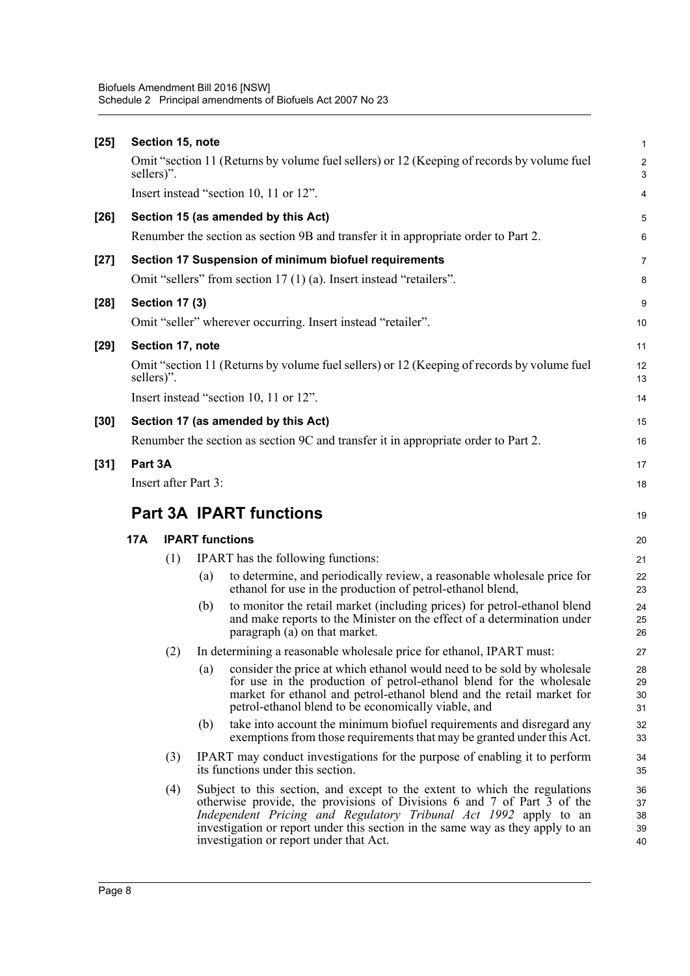| $[25]$ | Section 15, note               |                        |     |                                                                                                                                                                                                                                                                               |                               |  |  |  |
|--------|--------------------------------|------------------------|-----|-------------------------------------------------------------------------------------------------------------------------------------------------------------------------------------------------------------------------------------------------------------------------------|-------------------------------|--|--|--|
|        | sellers)".                     |                        |     | Omit "section 11 (Returns by volume fuel sellers) or 12 (Keeping of records by volume fuel                                                                                                                                                                                    | $\overline{c}$<br>$\mathsf 3$ |  |  |  |
|        |                                |                        |     | Insert instead "section 10, 11 or 12".                                                                                                                                                                                                                                        | 4                             |  |  |  |
| $[26]$ |                                |                        |     | Section 15 (as amended by this Act)                                                                                                                                                                                                                                           | $\overline{5}$                |  |  |  |
|        |                                |                        |     | Renumber the section as section 9B and transfer it in appropriate order to Part 2.                                                                                                                                                                                            | 6                             |  |  |  |
| $[27]$ |                                |                        |     | Section 17 Suspension of minimum biofuel requirements                                                                                                                                                                                                                         | 7                             |  |  |  |
|        |                                |                        |     | Omit "sellers" from section 17 (1) (a). Insert instead "retailers".                                                                                                                                                                                                           | 8                             |  |  |  |
| $[28]$ |                                | <b>Section 17 (3)</b>  |     |                                                                                                                                                                                                                                                                               | 9                             |  |  |  |
|        |                                |                        |     | Omit "seller" wherever occurring. Insert instead "retailer".                                                                                                                                                                                                                  | 10                            |  |  |  |
| $[29]$ |                                | Section 17, note       |     |                                                                                                                                                                                                                                                                               | 11                            |  |  |  |
|        | sellers)".                     |                        |     | Omit "section 11 (Returns by volume fuel sellers) or 12 (Keeping of records by volume fuel                                                                                                                                                                                    | 12<br>13                      |  |  |  |
|        |                                |                        |     | Insert instead "section 10, 11 or 12".                                                                                                                                                                                                                                        | 14                            |  |  |  |
| $[30]$ |                                |                        |     | Section 17 (as amended by this Act)                                                                                                                                                                                                                                           | 15                            |  |  |  |
|        |                                |                        |     | Renumber the section as section 9C and transfer it in appropriate order to Part 2.                                                                                                                                                                                            | 16                            |  |  |  |
| $[31]$ | Part 3A                        |                        |     |                                                                                                                                                                                                                                                                               | 17                            |  |  |  |
|        |                                | Insert after Part 3:   |     |                                                                                                                                                                                                                                                                               | 18                            |  |  |  |
|        | <b>Part 3A IPART functions</b> |                        |     |                                                                                                                                                                                                                                                                               |                               |  |  |  |
|        | 17A                            | <b>IPART</b> functions |     |                                                                                                                                                                                                                                                                               |                               |  |  |  |
|        |                                | (1)                    |     | <b>IPART</b> has the following functions:                                                                                                                                                                                                                                     | 21                            |  |  |  |
|        |                                |                        | (a) | to determine, and periodically review, a reasonable wholesale price for<br>ethanol for use in the production of petrol-ethanol blend,                                                                                                                                         | 22<br>23                      |  |  |  |
|        |                                |                        | (b) | to monitor the retail market (including prices) for petrol-ethanol blend<br>and make reports to the Minister on the effect of a determination under<br>paragraph $(a)$ on that market.                                                                                        | 24<br>25<br>26                |  |  |  |
|        |                                | (2)                    |     | In determining a reasonable wholesale price for ethanol, IPART must:                                                                                                                                                                                                          | 27                            |  |  |  |
|        |                                |                        | (a) | consider the price at which ethanol would need to be sold by wholesale<br>for use in the production of petrol-ethanol blend for the wholesale<br>market for ethanol and petrol-ethanol blend and the retail market for<br>petrol-ethanol blend to be economically viable, and | 28<br>29<br>30<br>31          |  |  |  |
|        |                                |                        | (b) | take into account the minimum biofuel requirements and disregard any<br>exemptions from those requirements that may be granted under this Act.                                                                                                                                | 32<br>33                      |  |  |  |
|        |                                | (3)                    |     | IPART may conduct investigations for the purpose of enabling it to perform<br>its functions under this section.                                                                                                                                                               | 34<br>35                      |  |  |  |
|        |                                | (4)                    |     | Subject to this section, and except to the extent to which the regulations<br>otherwise provide, the provisions of Divisions 6 and 7 of Part 3 of the<br>Independent Pricing and Regulatory Tribunal Act 1992 apply to an                                                     | 36<br>37<br>38                |  |  |  |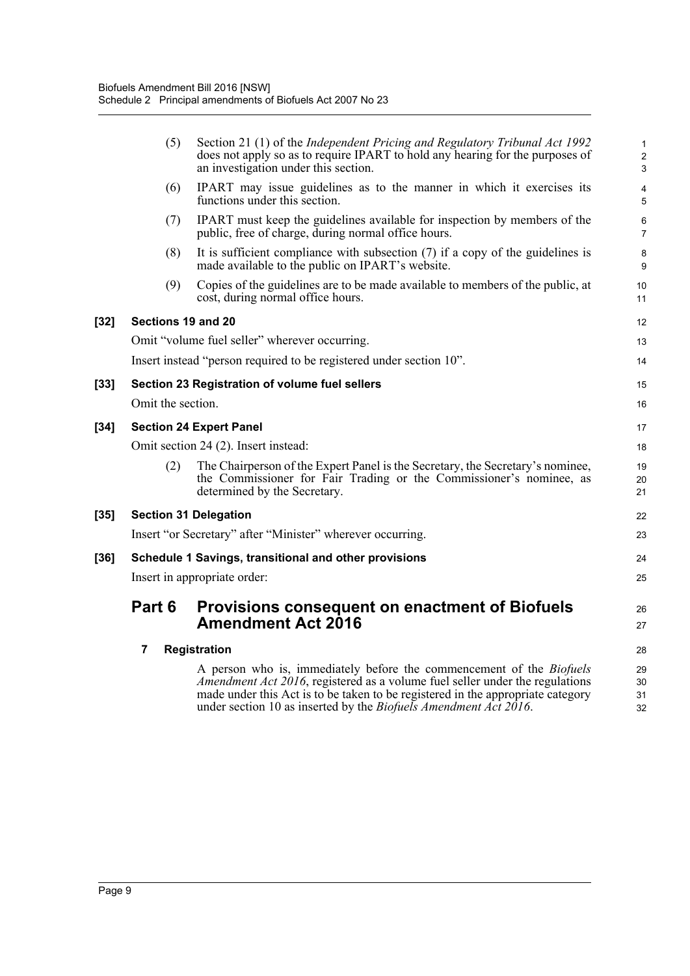|        | (5)                | Section 21 (1) of the <i>Independent Pricing and Regulatory Tribunal Act 1992</i><br>does not apply so as to require IPART to hold any hearing for the purposes of<br>an investigation under this section.                                                                                                                 | $\mathbf{1}$<br>$\overline{2}$<br>3 |
|--------|--------------------|----------------------------------------------------------------------------------------------------------------------------------------------------------------------------------------------------------------------------------------------------------------------------------------------------------------------------|-------------------------------------|
|        | (6)                | IPART may issue guidelines as to the manner in which it exercises its<br>functions under this section.                                                                                                                                                                                                                     | 4<br>5                              |
|        | (7)                | IPART must keep the guidelines available for inspection by members of the<br>public, free of charge, during normal office hours.                                                                                                                                                                                           | 6<br>$\overline{7}$                 |
|        | (8)                | It is sufficient compliance with subsection $(7)$ if a copy of the guidelines is<br>made available to the public on IPART's website.                                                                                                                                                                                       | 8<br>9                              |
|        | (9)                | Copies of the guidelines are to be made available to members of the public, at<br>cost, during normal office hours.                                                                                                                                                                                                        | 10<br>11                            |
| $[32]$ | Sections 19 and 20 |                                                                                                                                                                                                                                                                                                                            | 12                                  |
|        |                    | Omit "volume fuel seller" wherever occurring.                                                                                                                                                                                                                                                                              | 13                                  |
|        |                    | Insert instead "person required to be registered under section 10".                                                                                                                                                                                                                                                        | 14                                  |
| [33]   |                    | Section 23 Registration of volume fuel sellers                                                                                                                                                                                                                                                                             | 15                                  |
|        | Omit the section.  |                                                                                                                                                                                                                                                                                                                            | 16                                  |
| $[34]$ |                    | <b>Section 24 Expert Panel</b>                                                                                                                                                                                                                                                                                             | 17                                  |
|        |                    | Omit section 24 (2). Insert instead:                                                                                                                                                                                                                                                                                       | 18                                  |
|        | (2)                | The Chairperson of the Expert Panel is the Secretary, the Secretary's nominee,<br>the Commissioner for Fair Trading or the Commissioner's nominee, as<br>determined by the Secretary.                                                                                                                                      | 19<br>20<br>21                      |
| $[35]$ |                    | <b>Section 31 Delegation</b>                                                                                                                                                                                                                                                                                               | 22                                  |
|        |                    | Insert "or Secretary" after "Minister" wherever occurring.                                                                                                                                                                                                                                                                 | 23                                  |
| [36]   |                    | Schedule 1 Savings, transitional and other provisions                                                                                                                                                                                                                                                                      | 24                                  |
|        |                    | Insert in appropriate order:                                                                                                                                                                                                                                                                                               | 25                                  |
|        | Part 6             | <b>Provisions consequent on enactment of Biofuels</b><br><b>Amendment Act 2016</b>                                                                                                                                                                                                                                         | 26<br>27                            |
|        | 7                  | <b>Registration</b>                                                                                                                                                                                                                                                                                                        | 28                                  |
|        |                    | A person who is, immediately before the commencement of the <i>Biofuels</i><br>Amendment Act 2016, registered as a volume fuel seller under the regulations<br>made under this Act is to be taken to be registered in the appropriate category<br>under section 10 as inserted by the <i>Biofuels Amendment Act 2016</i> . | 29<br>30<br>31<br>32                |
|        |                    |                                                                                                                                                                                                                                                                                                                            |                                     |